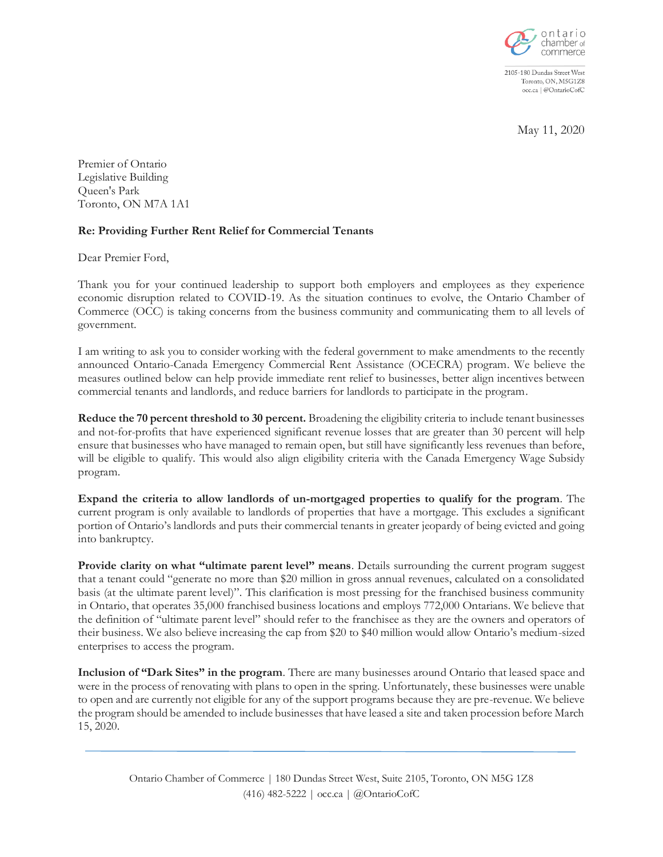

2105-180 Dundas Street West Toronto, ON, M5G1Z8 occ.ca | @OntarioCofC

May 11, 2020

Premier of Ontario Legislative Building Queen's Park Toronto, ON M7A 1A1

## **Re: Providing Further Rent Relief for Commercial Tenants**

Dear Premier Ford,

Thank you for your continued leadership to support both employers and employees as they experience economic disruption related to COVID-19. As the situation continues to evolve, the Ontario Chamber of Commerce (OCC) is taking concerns from the business community and communicating them to all levels of government.

I am writing to ask you to consider working with the federal government to make amendments to the recently announced Ontario-Canada Emergency Commercial Rent Assistance (OCECRA) program. We believe the measures outlined below can help provide immediate rent relief to businesses, better align incentives between commercial tenants and landlords, and reduce barriers for landlords to participate in the program.

**Reduce the 70 percent threshold to 30 percent.** Broadening the eligibility criteria to include tenant businesses and not-for-profits that have experienced significant revenue losses that are greater than 30 percent will help ensure that businesses who have managed to remain open, but still have significantly less revenues than before, will be eligible to qualify. This would also align eligibility criteria with the Canada Emergency Wage Subsidy program.

**Expand the criteria to allow landlords of un-mortgaged properties to qualify for the program**. The current program is only available to landlords of properties that have a mortgage. This excludes a significant portion of Ontario's landlords and puts their commercial tenants in greater jeopardy of being evicted and going into bankruptcy.

**Provide clarity on what "ultimate parent level" means**. Details surrounding the current program suggest that a tenant could "generate no more than \$20 million in gross annual revenues, calculated on a consolidated basis (at the ultimate parent level)". This clarification is most pressing for the franchised business community in Ontario, that operates 35,000 franchised business locations and employs 772,000 Ontarians. We believe that the definition of "ultimate parent level" should refer to the franchisee as they are the owners and operators of their business. We also believe increasing the cap from \$20 to \$40 million would allow Ontario's medium-sized enterprises to access the program.

**Inclusion of "Dark Sites" in the program**. There are many businesses around Ontario that leased space and were in the process of renovating with plans to open in the spring. Unfortunately, these businesses were unable to open and are currently not eligible for any of the support programs because they are pre-revenue. We believe the program should be amended to include businesses that have leased a site and taken procession before March 15, 2020.